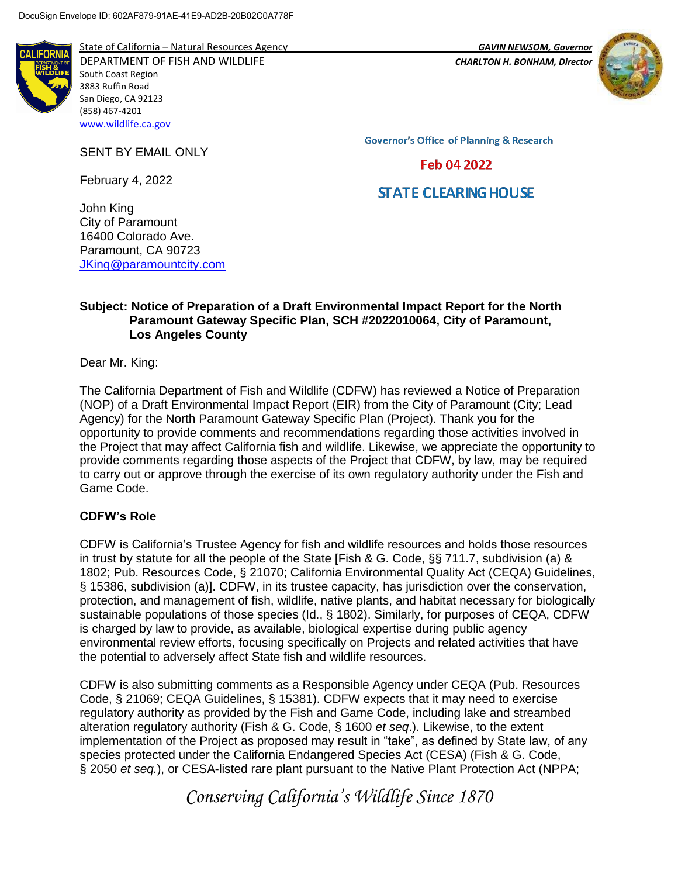

State of California – Natural Resources Agency *GAVIN NEWSOM, Governor* DEPARTMENT OF FISH AND WILDLIFE *CHARLTON H. BONHAM, Director*  South Coast Region 3883 Ruffin Road San Diego, CA 92123 (858) 467-4201 [www.wildlife.ca.gov](http://www.wildlife.ca.gov/)

SENT BY EMAIL ONLY

February 4, 2022



**Governor's Office of Planning & Research** 

Feb 04 2022

# **STATE CLEARING HOUSE**

John King City of Paramount 16400 Colorado Ave. Paramount, CA 90723 [JKing@paramountcity.com](mailto:JKing@paramountcity.com)

### **Subject: Notice of Preparation of a Draft Environmental Impact Report for the North Paramount Gateway Specific Plan, SCH #2022010064, City of Paramount, Los Angeles County**

Dear Mr. King:

The California Department of Fish and Wildlife (CDFW) has reviewed a Notice of Preparation (NOP) of a Draft Environmental Impact Report (EIR) from the City of Paramount (City; Lead Agency) for the North Paramount Gateway Specific Plan (Project). Thank you for the opportunity to provide comments and recommendations regarding those activities involved in the Project that may affect California fish and wildlife. Likewise, we appreciate the opportunity to provide comments regarding those aspects of the Project that CDFW, by law, may be required to carry out or approve through the exercise of its own regulatory authority under the Fish and Game Code.

## **CDFW's Role**

CDFW is California's Trustee Agency for fish and wildlife resources and holds those resources in trust by statute for all the people of the State [Fish & G. Code, §§ 711.7, subdivision (a) & 1802; Pub. Resources Code, § 21070; California Environmental Quality Act (CEQA) Guidelines, § 15386, subdivision (a)]. CDFW, in its trustee capacity, has jurisdiction over the conservation, protection, and management of fish, wildlife, native plants, and habitat necessary for biologically sustainable populations of those species (Id., § 1802). Similarly, for purposes of CEQA, CDFW is charged by law to provide, as available, biological expertise during public agency environmental review efforts, focusing specifically on Projects and related activities that have the potential to adversely affect State fish and wildlife resources.

CDFW is also submitting comments as a Responsible Agency under CEQA (Pub. Resources Code, § 21069; CEQA Guidelines, § 15381). CDFW expects that it may need to exercise regulatory authority as provided by the Fish and Game Code, including lake and streambed alteration regulatory authority (Fish & G. Code, § 1600 *et seq*.). Likewise, to the extent implementation of the Project as proposed may result in "take", as defined by State law, of any species protected under the California Endangered Species Act (CESA) (Fish & G. Code, § 2050 *et seq.*), or CESA-listed rare plant pursuant to the Native Plant Protection Act (NPPA;

*Conserving California's Wildlife Since 1870*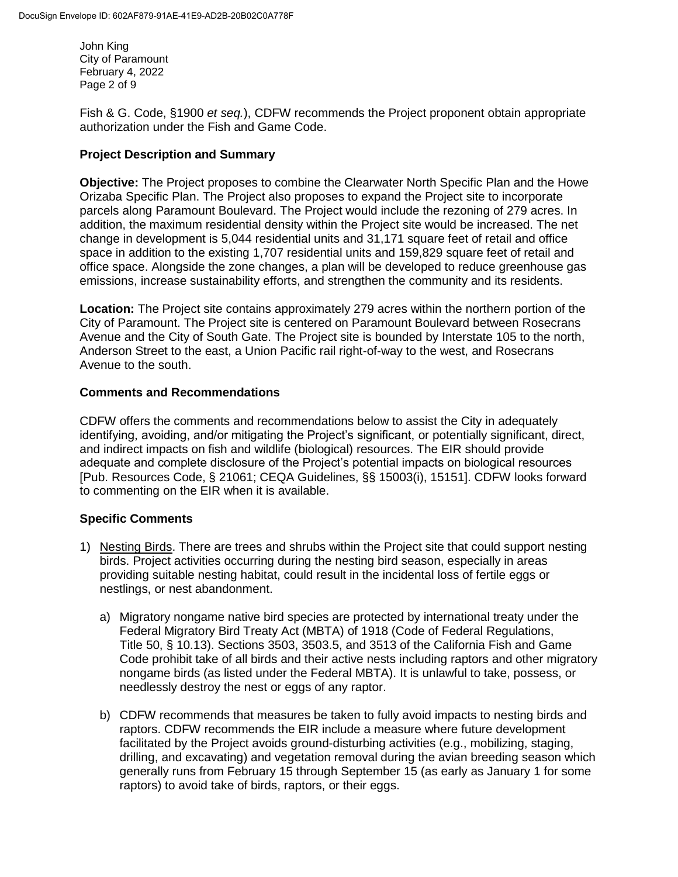John King City of Paramount February 4, 2022 Page 2 of 9

Fish & G. Code, §1900 *et seq.*), CDFW recommends the Project proponent obtain appropriate authorization under the Fish and Game Code.

### **Project Description and Summary**

**Objective:** The Project proposes to combine the Clearwater North Specific Plan and the Howe Orizaba Specific Plan. The Project also proposes to expand the Project site to incorporate parcels along Paramount Boulevard. The Project would include the rezoning of 279 acres. In addition, the maximum residential density within the Project site would be increased. The net change in development is 5,044 residential units and 31,171 square feet of retail and office space in addition to the existing 1,707 residential units and 159,829 square feet of retail and office space. Alongside the zone changes, a plan will be developed to reduce greenhouse gas emissions, increase sustainability efforts, and strengthen the community and its residents.

**Location:** The Project site contains approximately 279 acres within the northern portion of the City of Paramount. The Project site is centered on Paramount Boulevard between Rosecrans Avenue and the City of South Gate. The Project site is bounded by Interstate 105 to the north, Anderson Street to the east, a Union Pacific rail right-of-way to the west, and Rosecrans Avenue to the south.

## **Comments and Recommendations**

CDFW offers the comments and recommendations below to assist the City in adequately identifying, avoiding, and/or mitigating the Project's significant, or potentially significant, direct, and indirect impacts on fish and wildlife (biological) resources. The EIR should provide adequate and complete disclosure of the Project's potential impacts on biological resources [Pub. Resources Code, § 21061; CEQA Guidelines, §§ 15003(i), 15151]. CDFW looks forward to commenting on the EIR when it is available.

### **Specific Comments**

- 1) Nesting Birds. There are trees and shrubs within the Project site that could support nesting birds. Project activities occurring during the nesting bird season, especially in areas providing suitable nesting habitat, could result in the incidental loss of fertile eggs or nestlings, or nest abandonment.
	- a) Migratory nongame native bird species are protected by international treaty under the Federal Migratory Bird Treaty Act (MBTA) of 1918 (Code of Federal Regulations, Title 50, § 10.13). Sections 3503, 3503.5, and 3513 of the California Fish and Game Code prohibit take of all birds and their active nests including raptors and other migratory nongame birds (as listed under the Federal MBTA). It is unlawful to take, possess, or needlessly destroy the nest or eggs of any raptor.
	- b) CDFW recommends that measures be taken to fully avoid impacts to nesting birds and raptors. CDFW recommends the EIR include a measure where future development facilitated by the Project avoids ground-disturbing activities (e.g., mobilizing, staging, drilling, and excavating) and vegetation removal during the avian breeding season which generally runs from February 15 through September 15 (as early as January 1 for some raptors) to avoid take of birds, raptors, or their eggs.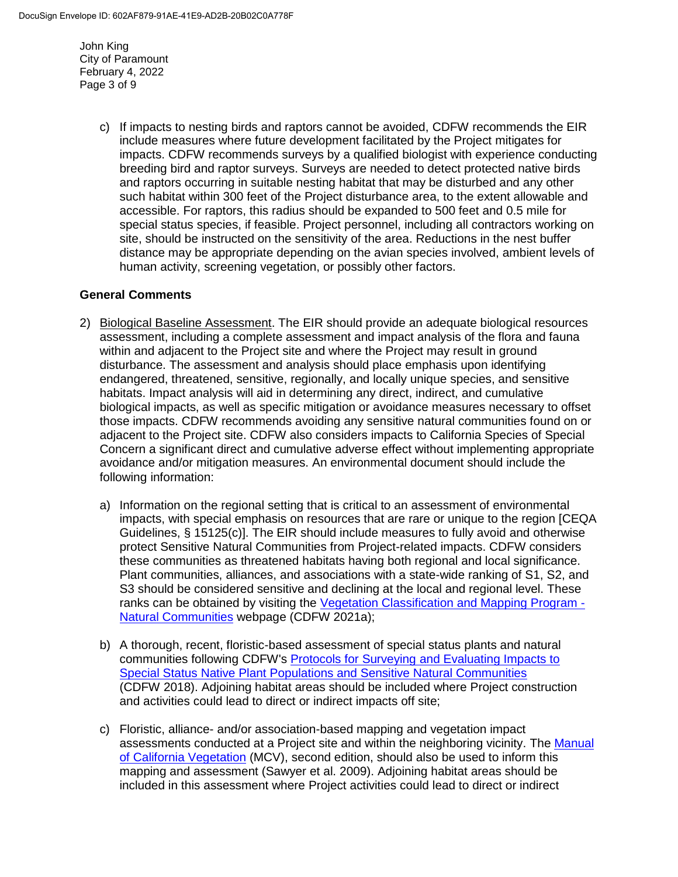John King City of Paramount February 4, 2022 Page 3 of 9

> c) If impacts to nesting birds and raptors cannot be avoided, CDFW recommends the EIR include measures where future development facilitated by the Project mitigates for impacts. CDFW recommends surveys by a qualified biologist with experience conducting breeding bird and raptor surveys. Surveys are needed to detect protected native birds and raptors occurring in suitable nesting habitat that may be disturbed and any other such habitat within 300 feet of the Project disturbance area, to the extent allowable and accessible. For raptors, this radius should be expanded to 500 feet and 0.5 mile for special status species, if feasible. Project personnel, including all contractors working on site, should be instructed on the sensitivity of the area. Reductions in the nest buffer distance may be appropriate depending on the avian species involved, ambient levels of human activity, screening vegetation, or possibly other factors.

## **General Comments**

- 2) Biological Baseline Assessment. The EIR should provide an adequate biological resources assessment, including a complete assessment and impact analysis of the flora and fauna within and adjacent to the Project site and where the Project may result in ground disturbance. The assessment and analysis should place emphasis upon identifying endangered, threatened, sensitive, regionally, and locally unique species, and sensitive habitats. Impact analysis will aid in determining any direct, indirect, and cumulative biological impacts, as well as specific mitigation or avoidance measures necessary to offset those impacts. CDFW recommends avoiding any sensitive natural communities found on or adjacent to the Project site. CDFW also considers impacts to California Species of Special Concern a significant direct and cumulative adverse effect without implementing appropriate avoidance and/or mitigation measures. An environmental document should include the following information:
	- a) Information on the regional setting that is critical to an assessment of environmental impacts, with special emphasis on resources that are rare or unique to the region [CEQA Guidelines, § 15125(c)]. The EIR should include measures to fully avoid and otherwise protect Sensitive Natural Communities from Project-related impacts. CDFW considers these communities as threatened habitats having both regional and local significance. Plant communities, alliances, and associations with a state-wide ranking of S1, S2, and S3 should be considered sensitive and declining at the local and regional level. These ranks can be obtained by visiting the [Vegetation Classification and Mapping Program -](https://wildlife.ca.gov/Data/VegCAMP/Natural-Communities) [Natural Communities](https://wildlife.ca.gov/Data/VegCAMP/Natural-Communities) webpage (CDFW 2021a);
	- b) A thorough, recent, floristic-based assessment of special status plants and natural communities following CDFW's Protocols for Surveying [and Evaluating Impacts to](https://nrm.dfg.ca.gov/FileHandler.ashx?DocumentID=18959&inline)  [Special Status Native Plant Populations and Sensitive Natural Communities](https://nrm.dfg.ca.gov/FileHandler.ashx?DocumentID=18959&inline) (CDFW 2018). Adjoining habitat areas should be included where Project construction and activities could lead to direct or indirect impacts off site;
	- c) Floristic, alliance- and/or association-based mapping and vegetation impact assessments conducted at a Project site and within the neighboring vicinity. The Manual [of California Vegetation](http://vegetation.cnps.org/) (MCV), second edition, should also be used to inform this mapping and assessment (Sawyer et al. 2009). Adjoining habitat areas should be included in this assessment where Project activities could lead to direct or indirect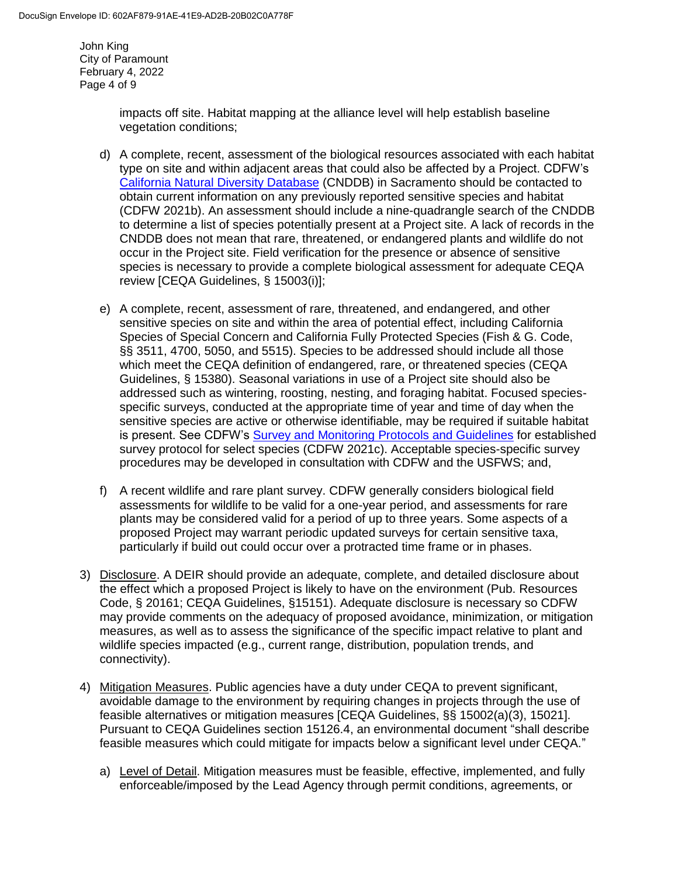John King City of Paramount February 4, 2022 Page 4 of 9

> impacts off site. Habitat mapping at the alliance level will help establish baseline vegetation conditions;

- d) A complete, recent, assessment of the biological resources associated with each habitat type on site and within adjacent areas that could also be affected by a Project. CDFW's [California Natural Diversity Database](https://wildlife.ca.gov/Data/CNDDB) (CNDDB) in Sacramento should be contacted to obtain current information on any previously reported sensitive species and habitat (CDFW 2021b). An assessment should include a nine-quadrangle search of the CNDDB to determine a list of species potentially present at a Project site. A lack of records in the CNDDB does not mean that rare, threatened, or endangered plants and wildlife do not occur in the Project site. Field verification for the presence or absence of sensitive species is necessary to provide a complete biological assessment for adequate CEQA review [CEQA Guidelines, § 15003(i)];
- e) A complete, recent, assessment of rare, threatened, and endangered, and other sensitive species on site and within the area of potential effect, including California Species of Special Concern and California Fully Protected Species (Fish & G. Code, §§ 3511, 4700, 5050, and 5515). Species to be addressed should include all those which meet the CEQA definition of endangered, rare, or threatened species (CEQA Guidelines, § 15380). Seasonal variations in use of a Project site should also be addressed such as wintering, roosting, nesting, and foraging habitat. Focused speciesspecific surveys, conducted at the appropriate time of year and time of day when the sensitive species are active or otherwise identifiable, may be required if suitable habitat is present. See CDFW's [Survey and Monitoring Protocols and Guidelines](https://wildlife.ca.gov/conservation/survey-protocols) for established survey protocol for select species (CDFW 2021c). Acceptable species-specific survey procedures may be developed in consultation with CDFW and the USFWS; and,
- f) A recent wildlife and rare plant survey. CDFW generally considers biological field assessments for wildlife to be valid for a one-year period, and assessments for rare plants may be considered valid for a period of up to three years. Some aspects of a proposed Project may warrant periodic updated surveys for certain sensitive taxa, particularly if build out could occur over a protracted time frame or in phases.
- 3) Disclosure. A DEIR should provide an adequate, complete, and detailed disclosure about the effect which a proposed Project is likely to have on the environment (Pub. Resources Code, § 20161; CEQA Guidelines, §15151). Adequate disclosure is necessary so CDFW may provide comments on the adequacy of proposed avoidance, minimization, or mitigation measures, as well as to assess the significance of the specific impact relative to plant and wildlife species impacted (e.g., current range, distribution, population trends, and connectivity).
- 4) Mitigation Measures. Public agencies have a duty under CEQA to prevent significant, avoidable damage to the environment by requiring changes in projects through the use of feasible alternatives or mitigation measures [CEQA Guidelines, §§ 15002(a)(3), 15021]. Pursuant to CEQA Guidelines section 15126.4, an environmental document "shall describe feasible measures which could mitigate for impacts below a significant level under CEQA."
	- a) Level of Detail. Mitigation measures must be feasible, effective, implemented, and fully enforceable/imposed by the Lead Agency through permit conditions, agreements, or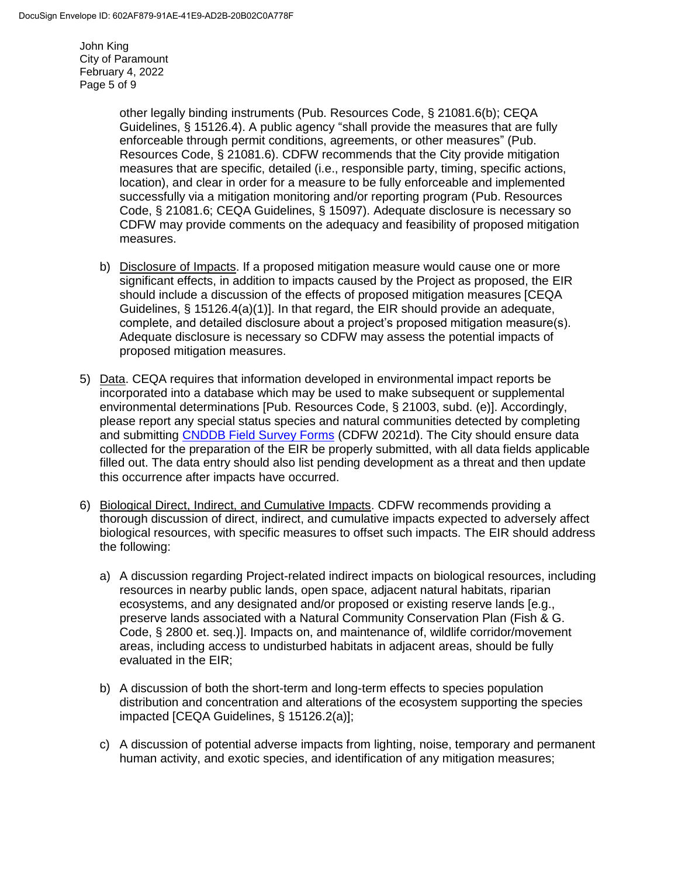John King City of Paramount February 4, 2022 Page 5 of 9

> other legally binding instruments (Pub. Resources Code, § 21081.6(b); CEQA Guidelines, § 15126.4). A public agency "shall provide the measures that are fully enforceable through permit conditions, agreements, or other measures" (Pub. Resources Code, § 21081.6). CDFW recommends that the City provide mitigation measures that are specific, detailed (i.e., responsible party, timing, specific actions, location), and clear in order for a measure to be fully enforceable and implemented successfully via a mitigation monitoring and/or reporting program (Pub. Resources Code, § 21081.6; CEQA Guidelines, § 15097). Adequate disclosure is necessary so CDFW may provide comments on the adequacy and feasibility of proposed mitigation measures.

- b) Disclosure of Impacts. If a proposed mitigation measure would cause one or more significant effects, in addition to impacts caused by the Project as proposed, the EIR should include a discussion of the effects of proposed mitigation measures [CEQA Guidelines,  $\S$  15126.4(a)(1)]. In that regard, the EIR should provide an adequate, complete, and detailed disclosure about a project's proposed mitigation measure(s). Adequate disclosure is necessary so CDFW may assess the potential impacts of proposed mitigation measures.
- 5) Data. CEQA requires that information developed in environmental impact reports be incorporated into a database which may be used to make subsequent or supplemental environmental determinations [Pub. Resources Code, § 21003, subd. (e)]. Accordingly, please report any special status species and natural communities detected by completing and submitting [CNDDB Field Survey Forms](https://wildlife.ca.gov/Data/CNDDB/Submitting-Data) (CDFW 2021d). The City should ensure data collected for the preparation of the EIR be properly submitted, with all data fields applicable filled out. The data entry should also list pending development as a threat and then update this occurrence after impacts have occurred.
- 6) Biological Direct, Indirect, and Cumulative Impacts. CDFW recommends providing a thorough discussion of direct, indirect, and cumulative impacts expected to adversely affect biological resources, with specific measures to offset such impacts. The EIR should address the following:
	- a) A discussion regarding Project-related indirect impacts on biological resources, including resources in nearby public lands, open space, adjacent natural habitats, riparian ecosystems, and any designated and/or proposed or existing reserve lands [e.g., preserve lands associated with a Natural Community Conservation Plan (Fish & G. Code, § 2800 et. seq.)]. Impacts on, and maintenance of, wildlife corridor/movement areas, including access to undisturbed habitats in adjacent areas, should be fully evaluated in the EIR;
	- b) A discussion of both the short-term and long-term effects to species population distribution and concentration and alterations of the ecosystem supporting the species impacted [CEQA Guidelines, § 15126.2(a)];
	- c) A discussion of potential adverse impacts from lighting, noise, temporary and permanent human activity, and exotic species, and identification of any mitigation measures;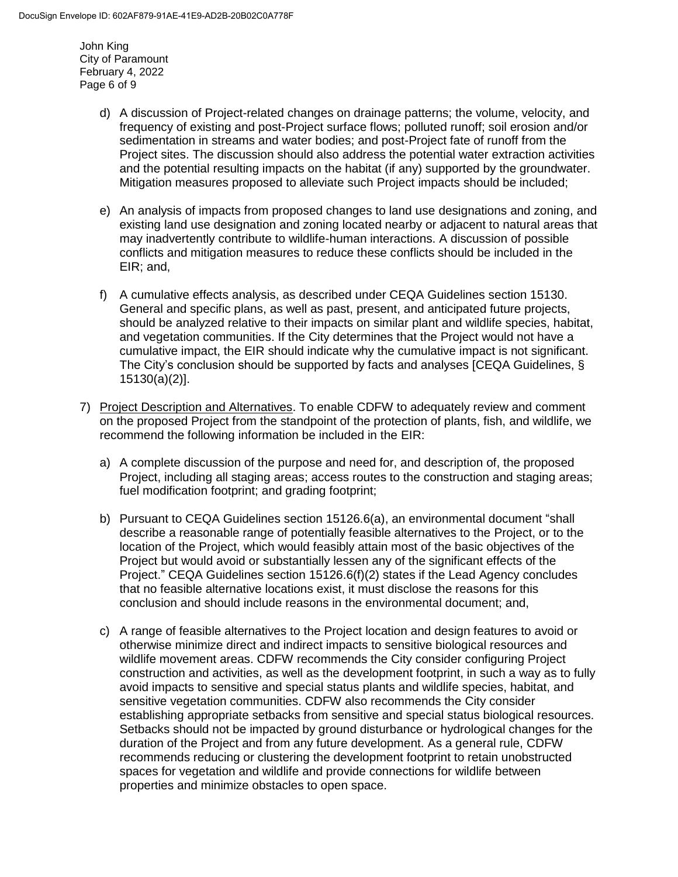John King City of Paramount February 4, 2022 Page 6 of 9

- d) A discussion of Project-related changes on drainage patterns; the volume, velocity, and frequency of existing and post-Project surface flows; polluted runoff; soil erosion and/or sedimentation in streams and water bodies; and post-Project fate of runoff from the Project sites. The discussion should also address the potential water extraction activities and the potential resulting impacts on the habitat (if any) supported by the groundwater. Mitigation measures proposed to alleviate such Project impacts should be included;
- e) An analysis of impacts from proposed changes to land use designations and zoning, and existing land use designation and zoning located nearby or adjacent to natural areas that may inadvertently contribute to wildlife-human interactions. A discussion of possible conflicts and mitigation measures to reduce these conflicts should be included in the EIR; and,
- f) A cumulative effects analysis, as described under CEQA Guidelines section 15130. General and specific plans, as well as past, present, and anticipated future projects, should be analyzed relative to their impacts on similar plant and wildlife species, habitat, and vegetation communities. If the City determines that the Project would not have a cumulative impact, the EIR should indicate why the cumulative impact is not significant. The City's conclusion should be supported by facts and analyses [CEQA Guidelines, § 15130(a)(2)].
- 7) Project Description and Alternatives. To enable CDFW to adequately review and comment on the proposed Project from the standpoint of the protection of plants, fish, and wildlife, we recommend the following information be included in the EIR:
	- a) A complete discussion of the purpose and need for, and description of, the proposed Project, including all staging areas; access routes to the construction and staging areas; fuel modification footprint; and grading footprint;
	- b) Pursuant to CEQA Guidelines section 15126.6(a), an environmental document "shall describe a reasonable range of potentially feasible alternatives to the Project, or to the location of the Project, which would feasibly attain most of the basic objectives of the Project but would avoid or substantially lessen any of the significant effects of the Project." CEQA Guidelines section 15126.6(f)(2) states if the Lead Agency concludes that no feasible alternative locations exist, it must disclose the reasons for this conclusion and should include reasons in the environmental document; and,
	- c) A range of feasible alternatives to the Project location and design features to avoid or otherwise minimize direct and indirect impacts to sensitive biological resources and wildlife movement areas. CDFW recommends the City consider configuring Project construction and activities, as well as the development footprint, in such a way as to fully avoid impacts to sensitive and special status plants and wildlife species, habitat, and sensitive vegetation communities. CDFW also recommends the City consider establishing appropriate setbacks from sensitive and special status biological resources. Setbacks should not be impacted by ground disturbance or hydrological changes for the duration of the Project and from any future development. As a general rule, CDFW recommends reducing or clustering the development footprint to retain unobstructed spaces for vegetation and wildlife and provide connections for wildlife between properties and minimize obstacles to open space.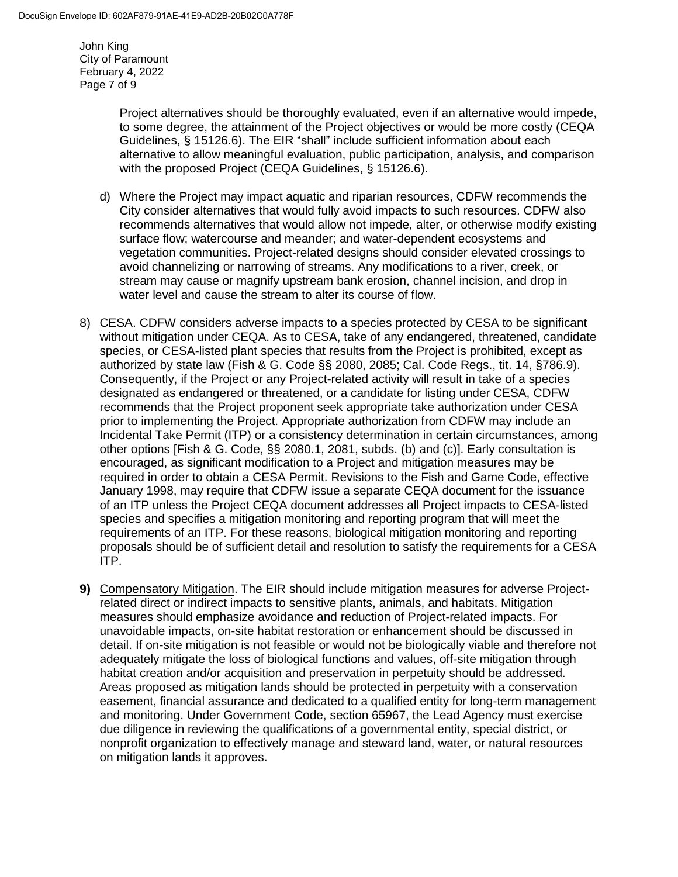John King City of Paramount February 4, 2022 Page 7 of 9

> Project alternatives should be thoroughly evaluated, even if an alternative would impede, to some degree, the attainment of the Project objectives or would be more costly (CEQA Guidelines, § 15126.6). The EIR "shall" include sufficient information about each alternative to allow meaningful evaluation, public participation, analysis, and comparison with the proposed Project (CEQA Guidelines, § 15126.6).

- d) Where the Project may impact aquatic and riparian resources, CDFW recommends the City consider alternatives that would fully avoid impacts to such resources. CDFW also recommends alternatives that would allow not impede, alter, or otherwise modify existing surface flow; watercourse and meander; and water-dependent ecosystems and vegetation communities. Project-related designs should consider elevated crossings to avoid channelizing or narrowing of streams. Any modifications to a river, creek, or stream may cause or magnify upstream bank erosion, channel incision, and drop in water level and cause the stream to alter its course of flow.
- 8) CESA. CDFW considers adverse impacts to a species protected by CESA to be significant without mitigation under CEQA. As to CESA, take of any endangered, threatened, candidate species, or CESA-listed plant species that results from the Project is prohibited, except as authorized by state law (Fish & G. Code §§ 2080, 2085; Cal. Code Regs., tit. 14, §786.9). Consequently, if the Project or any Project-related activity will result in take of a species designated as endangered or threatened, or a candidate for listing under CESA, CDFW recommends that the Project proponent seek appropriate take authorization under CESA prior to implementing the Project. Appropriate authorization from CDFW may include an Incidental Take Permit (ITP) or a consistency determination in certain circumstances, among other options [Fish & G. Code, §§ 2080.1, 2081, subds. (b) and (c)]. Early consultation is encouraged, as significant modification to a Project and mitigation measures may be required in order to obtain a CESA Permit. Revisions to the Fish and Game Code, effective January 1998, may require that CDFW issue a separate CEQA document for the issuance of an ITP unless the Project CEQA document addresses all Project impacts to CESA-listed species and specifies a mitigation monitoring and reporting program that will meet the requirements of an ITP. For these reasons, biological mitigation monitoring and reporting proposals should be of sufficient detail and resolution to satisfy the requirements for a CESA ITP.
- **9)** Compensatory Mitigation. The EIR should include mitigation measures for adverse Projectrelated direct or indirect impacts to sensitive plants, animals, and habitats. Mitigation measures should emphasize avoidance and reduction of Project-related impacts. For unavoidable impacts, on-site habitat restoration or enhancement should be discussed in detail. If on-site mitigation is not feasible or would not be biologically viable and therefore not adequately mitigate the loss of biological functions and values, off-site mitigation through habitat creation and/or acquisition and preservation in perpetuity should be addressed. Areas proposed as mitigation lands should be protected in perpetuity with a conservation easement, financial assurance and dedicated to a qualified entity for long-term management and monitoring. Under Government Code, section 65967, the Lead Agency must exercise due diligence in reviewing the qualifications of a governmental entity, special district, or nonprofit organization to effectively manage and steward land, water, or natural resources on mitigation lands it approves.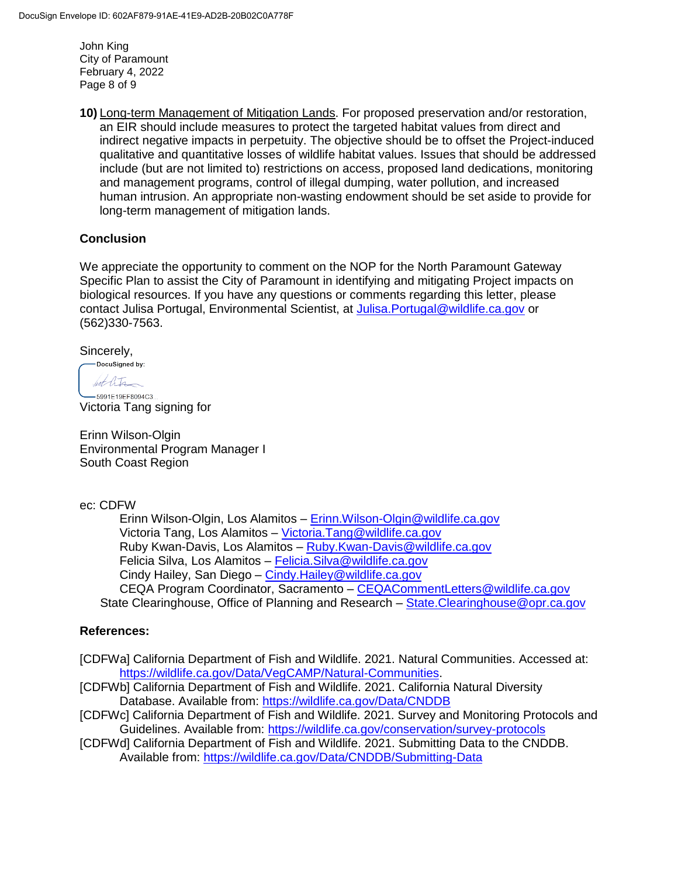John King City of Paramount February 4, 2022 Page 8 of 9

**10)** Long-term Management of Mitigation Lands. For proposed preservation and/or restoration, an EIR should include measures to protect the targeted habitat values from direct and indirect negative impacts in perpetuity. The objective should be to offset the Project-induced qualitative and quantitative losses of wildlife habitat values. Issues that should be addressed include (but are not limited to) restrictions on access, proposed land dedications, monitoring and management programs, control of illegal dumping, water pollution, and increased human intrusion. An appropriate non-wasting endowment should be set aside to provide for long-term management of mitigation lands.

### **Conclusion**

We appreciate the opportunity to comment on the NOP for the North Paramount Gateway Specific Plan to assist the City of Paramount in identifying and mitigating Project impacts on biological resources. If you have any questions or comments regarding this letter, please contact Julisa Portugal, Environmental Scientist, at [Julisa.Portugal@wildlife.ca.gov](mailto:Julisa.Portugal@wildlife.ca.gov) or (562)330-7563.

Sincerely,

-DocuSigned by: hot life

 $-5991E19EF8094C3...$ Victoria Tang signing for

Erinn Wilson-Olgin Environmental Program Manager I South Coast Region

#### ec: CDFW

Erinn Wilson-Olgin, Los Alamitos – [Erinn.Wilson-Olgin@wildlife.ca.gov](mailto:Erinn.Wilson-Olgin@wildlife.ca.gov) Victoria Tang, Los Alamitos – [Victoria.Tang@wildlife.ca.gov](mailto:Victoria.Tang@wildlife.ca.gov) Ruby Kwan-Davis, Los Alamitos – [Ruby.Kwan-Davis@wildlife.ca.gov](mailto:Ruby.Kwan-Davis@wildlife.ca.gov) Felicia Silva, Los Alamitos – [Felicia.Silva@wildlife.ca.gov](mailto:Felicia.Silva@wildlife.ca.gov) Cindy Hailey, San Diego – [Cindy.Hailey@wildlife.ca.gov](mailto:Cindy.Hailey@wildlife.ca.gov) CEQA Program Coordinator, Sacramento - CEQACommentLetters@wildlife.ca.gov State Clearinghouse, Office of Planning and Research – [State.Clearinghouse@opr.ca.gov](mailto:State.Clearinghouse@opr.ca.gov)

### **References:**

- [CDFWa] California Department of Fish and Wildlife. 2021. Natural Communities. Accessed at: [https://wildlife.ca.gov/Data/VegCAMP/Natural-Communities.](https://wildlife.ca.gov/Data/VegCAMP/Natural-Communities)
- [CDFWb] California Department of Fish and Wildlife. 2021. California Natural Diversity Database. Available from:<https://wildlife.ca.gov/Data/CNDDB>
- [CDFWc] California Department of Fish and Wildlife. 2021. Survey and Monitoring Protocols and Guidelines. Available from:<https://wildlife.ca.gov/conservation/survey-protocols>
- [CDFWd] California Department of Fish and Wildlife. 2021. Submitting Data to the CNDDB. Available from:<https://wildlife.ca.gov/Data/CNDDB/Submitting-Data>